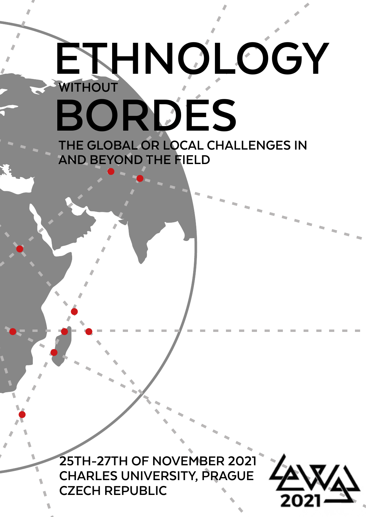# **ETHNOLOGY WITHOUT BORDES**

**THE GLOBAL OR LOCAL CHALLENGES IN AND BEYOND THE FIELD**

**25TH-27TH OF NOVEMBER 2021 CHARLES UNIVERSITY, PRAGUE CZECH REPUBLIC**

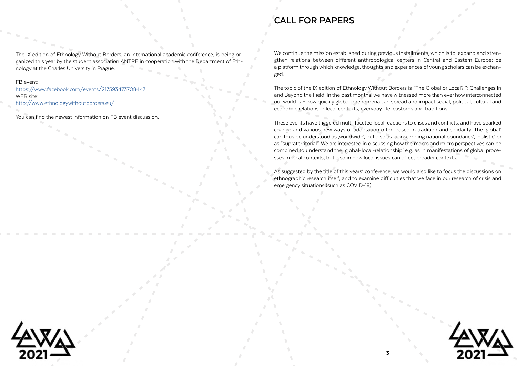The IX edition of Ethnology Without Borders, an international academic conference, is being organized this year by the student association ANTRE in cooperation with the Department of Ethnology at the Charles University in Prague.

### FB event:

[https://www.facebook.com/events/217593473708447](https://www.facebook.com/events/217593473708447 ) WEB site: [http://www.ethnologywithoutborders.eu/](http://www.ethnologywithoutborders.eu/  ) 

You can find the newest information on FB event discussion.

We continue the mission established during previous installments, which is to: expand and strengthen relations between different anthropological centers in Central and Eastern Europe; be a platform through which knowledge, thoughts and experiences of young scholars can be exchanged.

The topic of the IX edition of Ethnology Without Borders is "The Global or Local? ": Challenges In and Beyond the Field. In the past months, we have witnessed more than ever how interconnected our world is – how quickly global phenomena can spread and impact social, political, cultural and economic relations in local contexts, everyday life, customs and traditions.

These events have triggered multi-faceted local reactions to crises and conflicts, and have sparked change and various new ways of adaptation often based in tradition and solidarity. The 'global' can thus be understood as ,worldwide', but also as ,transcending national boundaries', ,holistic' or as "supraterritorial". We are interested in discussing how the macro and micro perspectives can be combined to understand the 'global-local-relationship' e.g. as in manifestations of global processes in local contexts, but also in how local issues can affect broader contexts.

As suggested by the title of this years' conference, we would also like to focus the discussions on ethnographic research itself, and to examine difficulties that we face in our research of crisis and emergency situations (such as COVID-19).



## **CALL FOR PAPERS**

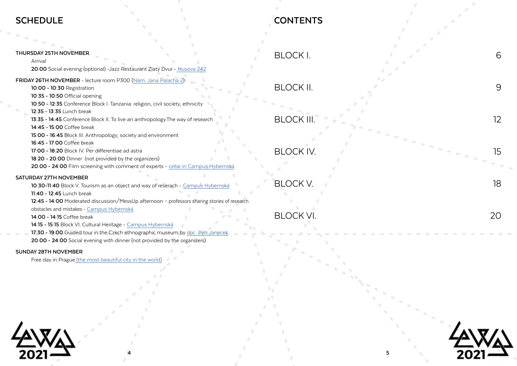### **THURSDAY 25TH NOVEMBER**

Arrival

**20:00** Social evening (optional) -Jazz Restaurant Zlatý Dvur [- Husova 242](https://www.google.com/maps/place/Husova+242,+110+00+Star%C3%A9+M%C4%9Bsto/@50.0851791,14.4158716,17z/data=!3m1!4b1!4m5!3m4!1s0x470b94ef1fc157bb:0x28449ad48d02c353!8m2!3d50.0851791!4d14.4180603)

### **SCHEDULE**

### **FRIDAY 26TH NOVEMBER** - lecture room P300 ([Nám. Jana Palacha 2\)](https://www.google.com/maps/place/Filozofick%C3%A1+fakulta+Univerzity+Karlovy/@50.0889643,14.413834,17z/data=!3m1!4b1!4m5!3m4!1s0x470b94e62ed95da3:0xc99ee4aec148c181!8m2!3d50.0889643!4d14.4160227?hl=cs-CZ)

- **10:00 10:30** Registration
- **10:35 10:50** Official opening
- **10:50 12:35** Conference Block I. Tanzania: religion, civil society, ethnicity
- **12:35 13:35** Lunch break
- **13:35 14:45** Conference Block II. To live an anthropology.The way of research
- **14:45 15:00** Coffee break
- **15:00 16:45** Block III. Anthropology, society and environment
- **16:45 17:00** Coffee break
- **17:00 18:20** Block IV. Per differentiae ad astra
- **18:20 20:00** Dinner (not provided by the organizers)
- **20:00 24:00** Film screening with comment of experts [cellar in Campus Hybernská](https://www.kampushybernska.cz/en/campus-hybernska/?fbclid=IwAR0zFAsh8EOeUqb3lvcS_EzM-_V5UyB1u_8LyXUToQrU-qJ37Mb6rT3Fpa4)

### **SATURDAY 27TH NOVEMBER**

- **10:30-11:40** Block V. Tourism as an object and way of reserach [Campus Hybernská](https://www.kampushybernska.cz/en/campus-hybernska/?fbclid=IwAR0zFAsh8EOeUqb3lvcS_EzM-_V5UyB1u_8LyXUToQrU-qJ37Mb6rT3Fpa4)
- **11:40 12:45** Lunch break
- **12:45 14:00** Moderated discussion/MessUp afternoon professors sharing stories of research
- obstacles and mistakes - [Campus Hybernská](https://www.kampushybernska.cz/en/campus-hybernska/?fbclid=IwAR0zFAsh8EOeUqb3lvcS_EzM-_V5UyB1u_8LyXUToQrU-qJ37Mb6rT3Fpa4)
- **14:00 14:15** Coffee break
- **14:15 15:15** Block VI. Cultural Heritage - [Campus Hybernská](https://www.kampushybernska.cz/en/campus-hybernska/?fbclid=IwAR0zFAsh8EOeUqb3lvcS_EzM-_V5UyB1u_8LyXUToQrU-qJ37Mb6rT3Fpa4)
- **17:30 19:00** Guided tour in the Czech ethnographic museum by [doc. Petr Janecek](https://uetn.ff.cuni.cz/cs/vyucujici/phdr-petr-janecek-ph-d/) **20:00 - 24:00** Social evening with dinner (not provided by the organizers)

### **SUNDAY 28TH NOVEMBER**

Free day in Prague [\(the most beautiful city in the world\)](https://www.timeout.com/news/prague-has-just-been-voted-the-most-beautiful-city-in-the-world-091521)





## **CONTENTS**

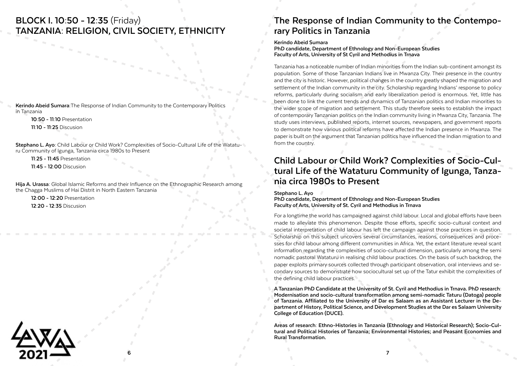### **BLOCK I. 10:50 - 12:35** (Friday) **TANZANIA: RELIGION, CIVIL SOCIETY, ETHNICITY**

**Kerindo Abeid Sumara:**The Response of Indian Community to the Contemporary Politics in Tanzania

**10:50 - 11:10** Presentation

**11:10 - 11:25** Discusion

**Stephano L. Ayo:** Child Labour or Child Work? Complexities of Socio-Cultural Life of the Wataturu Community of Igunga, Tanzania circa 1980s to Present

**11:25 - 11:45** Presentation

**11:45 - 12:00** Discusion

**Hija A. Urassa:** Global Islamic Reforms and their Influence on the Ethnographic Research among the Chagga Muslims of Hai Distrit in North Eastern Tanzania

**12:00 - 12:20** Presentation

**12:20 - 12:35** Discusion

## **The Response of Indian Community to the Contemporary Politics in Tanzania**

### **Kerindo Abeid Sumara**

**PhD candidate, Department of Ethnology and Non-European Studies Faculty of Arts, University of St Cyril and Methodius in Trnava**

Tanzania has a noticeable number of Indian minorities from the Indian sub-continent amongst its population. Some of those Tanzanian Indians live in Mwanza City. Their presence in the country and the city is historic. However, political changes in the country greatly shaped the migration and settlement of the Indian community in the city. Scholarship regarding Indians' response to policy reforms, particularly during socialism and early liberalization period is enormous. Yet, little has been done to link the current trends and dynamics of Tanzanian politics and Indian minorities to the wider scope of migration and settlement. This study therefore seeks to establish the impact of contemporary Tanzanian politics on the Indian community living in Mwanza City, Tanzania. The study uses interviews, published reports, internet sources, newspapers, and government reports to demonstrate how various political reforms have affected the Indian presence in Mwanza. The paper is built on the argument that Tanzanian politics have influenced the Indian migration to and from the country.

## **Child Labour or Child Work? Complexities of Socio-Cultural Life of the Wataturu Community of Igunga, Tanzania circa 1980s to Present**

**Stephano L. Ayo** 

**PhD candidate, Department of Ethnology and Non-European Studies Faculty of Arts, University of St. Cyril and Methodius in Trnava** 

For a longtime the world has campaigned against child labour. Local and global efforts have been made to alleviate this phenomenon. Despite those efforts, specific socio-cultural context and societal interpretation of child labour has left the campaign against those practices in question. Scholarship on this subject uncovers several circumstances, reasons, consequences and processes for child labour among different communities in Africa. Yet, the extant literature reveal scant information regarding the complexities of socio-cultural dimension, particularly among the semi nomadic pastoral Wataturu in realising child labour practices. On the basis of such backdrop, the paper exploits primary sources collected through participant observation, oral interviews and secondary sources to demonstrate how sociocultural set up of the Tatur exhibit the complexities of the defining child labour practices.

**A Tanzanian PhD Candidate at the University of St. Cyril and Methodius in Trnava. PhD research: Modernisation and socio-cultural transformation among semi-nomadic Taturu (Datoga) people of Tanzania. Affiliated to the University of Dar es Salaam as an Assistant Lecturer in the De- partment of History, Political Science, and Development Studies at the Dar es Salaam University College of Education (DUCE).**

**Areas of research: Ethno-Histories in Tanzania (Ethnology and Historical Research); Socio-Cultural and Political Histories of Tanzania; Environmental Histories; and Peasant Economies and Rural Transformation.**

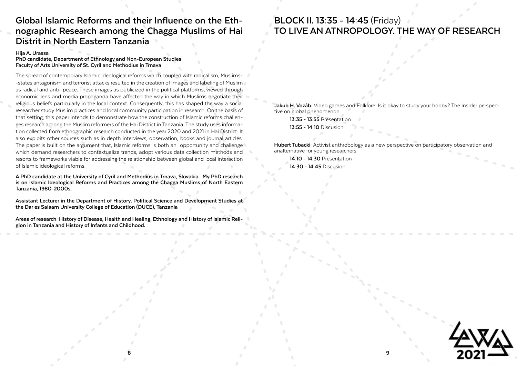**8 9**



### **Global Islamic Reforms and their Influence on the Ethnographic Research among the Chagga Muslims of Hai Distrit in North Eastern Tanzania**

**Hija A. Urassa**

**PhD candidate, Department of Ethnology and Non-European Studies Faculty of Arts University of St. Cyril and Methodius in Trnava**

The spread of contemporary Islamic ideological reforms which coupled with radicalism, Muslims- -states antagonism and terrorist attacks resulted in the creation of images and labeling of Muslim as radical and anti- peace. These images as publicized in the political platforms, viewed through economic lens and media propaganda have affected the way in which Muslims negotiate their religious beliefs particularly in the local context. Consequently, this has shaped the way a social researcher study Muslim practices and local community participation in research. On the basis of that setting, this paper intends to demonstrate how the construction of Islamic reforms challenges research among the Muslim reformers of the Hai District in Tanzania. The study uses information collected from ethnographic research conducted in the year 2020 and 2021 in Hai District. It also exploits other sources such as in depth interviews, observation, books and journal articles. The paper is built on the argument that, Islamic reforms is both an opportunity and challenge which demand researchers to contextualize trends, adopt various data collection methods and resorts to frameworks viable for addressing the relationship between global and local interaction of Islamic ideological reforms.

## **BLOCK II. 13:35 - 14:45** (Friday) **TO LIVE AN ATNROPOLOGY. THE WAY OF RESEARCH**

**Jakub H. Vozáb**: Video games and Folklore: Is it okay to study your hobby? The Insider perspec-<br>tive on global phenomenon

**13:35 - 13:55** Presentation **13:55 - 14:10** Discusion

**Hubert Tubacki:** Activist anthropology as a new perspective on participatory observation and analternative for young researchers

**14:10 - 14:30** Presentation **14:30 - 14:45** Discusion

**A PhD candidate at the University of Cyril and Methodius in Trnava, Slovakia. My PhD research is on Islamic Ideological Reforms and Practices among the Chagga Muslims of North Eastern Tanzania, 1980-2000s.**

**Assistant Lecturer in the Department of History, Political Science and Development Studies at the Dar es Salaam University College of Education (DUCE), Tanzania**

**Areas of research: History of Disease, Health and Healing, Ethnology and History of Islamic Reli- gion in Tanzania and History of Infants and Childhood.**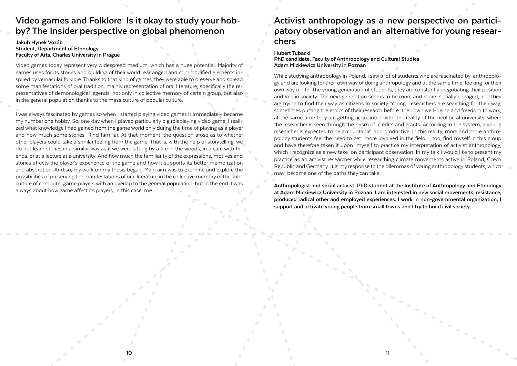**10**

### **Video games and Folklore: Is it okay to study your hobby? The Insider perspective on global phenomenon**

### **Jakub Hynek Vozáb Student, Department of Ethnology Faculty of Arts, Charles University in Prague**

Video games today represent very widespread medium, which has a huge potential. Majority of games uses for its stories and building of their world rearranged and commodified elements inspired by vernacular folklore. Thanks to that kind of games, they were able to preserve and spread some manifestations of oral tradition, mainly representation of oral literature, specifically the representatives of demonological legends, not only in collective memory of certain group, but also in the general population thanks to the mass culture of popular culture.

I was always fascinated by games so when I started playing video games it immediately became my number one hobby. So, one day when I played particularly big roleplaying video game, I realized what knowledge I had gained from the game world only during the time of playing as a player and how much some stories I find familiar. At that moment, the question arose as to whether other players could take a similar feeling from the game. That is, with the help of storytelling, we do not learn stories in a similar way as if we were sitting by a fire in the woods, in a cafe with friends, or at a lecture at a university. And how much the familiarity of the expressions, motives and stories affects the player's experience of the game and how it supports its better memorization and absorption. And so, my work on my thesis began. Main aim was to examine and explore the possibilities of preserving the manifestations of oral literature in the collective memory of the subculture of computer game players with an overlap to the general population, but in the end it was always about how game affect its players, in this case, me.

### **Activist anthropology as a new perspective on participatory observation and an alternative for young researchers**

#### **Hubert Tubacki**

**PhD candidate, Faculty of Anthropology and Cultural Studies Adam Mickiewicz University in Poznan** 

While studying anthropology in Poland, I saw a lot of students who are fascinated by anthropology and are looking for their own way of doing anthropology and at the same time looking for their own way of life. The young generation of students, they are constantly negotiating their position and role in society. The next generation seems to be more and more socially engaged, and they are trying to find their way as citizens in society. Young researchers are searching for their way, sometimes putting the ethics of their research before their own well-being and freedom to work, at the same time they are getting acquainted with the reality of the neoliberal university, where the researcher is seen through the prism of credits and grants. According to the system, a young researcher is expected to be accountable and productive. In this reality, more and more anthropology students feel the need to get more involved in the field. I, too, find myself in this group and have therefore taken it upon myself to practice my interpretation of activist anthropology, which I recognize as a new take on participant observation. In my talk I would like to present my practice as an activist researcher while researching climate movements active in Poland, Czech Republic and Germany. It is my response to the dilemmas of young anthropology students, which may become one of the paths they can take.

**Anthropologist and social activist, PhD student at the Institute of Anthropology and Ethnology at Adam Mickiewicz University in Poznan. I am interested in new social movements, resistance, produced radical other and employed experiences. I work in non-governmental organization, I support and activate young people from small towns and I try to build civil society.**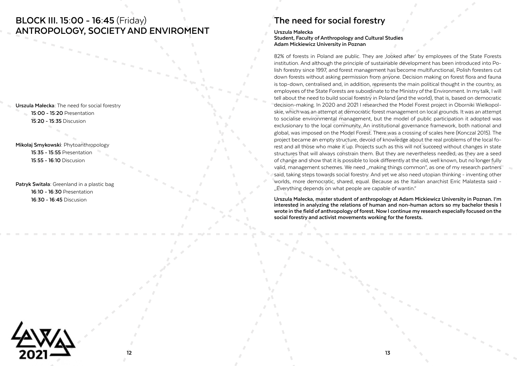### **BLOCK III. 15:00 - 16:45** (Friday) **ANTROPOLOGY, SOCIETY AND ENVIROMENT**

**Urszula Małecka:** The need for social forestry **15:00 - 15:20** Presentation

**15:20 - 15:35** Discusion

**Mikołaj Smykowski:** Phytoanthropology **15:35 - 15:55** Presentation **15:55 - 16:10** Discusion

## **The need for social forestry**

#### **Urszula Małecka**

**Student, Faculty of Anthropology and Cultural Studies Adam Mickiewicz University in Poznan**

82% of forests in Poland are public. They are looked after' by employees of the State Forests institution. And although the principle of sustainable development has been introduced into Polish forestry since 1997, and forest management has become multifunctional, Polish foresters cut down forests without asking permission from anyone. Decision making on forest flora and fauna is top-down, centralised and, in addition, represents the main political thought in the country, as employees of the State Forests are subordinate to the Ministry of the Environment. In my talk, I will tell about the need to build social forestry in Poland (and the world), that is, based on democratic decision-making. In 2020 and 2021 I researched the Model Forest project in Oborniki Wielkopolskie, which was an attempt at democratic forest management on local grounds. It was an attempt to socialise environmental management, but the model of public participation it adopted was exclusionary to the local community. An institutional governance framework, both national and global, was imposed on the Model Forest. There was a crossing of scales here (Konczal 2015). The project became an empty structure, devoid of knowledge about the real problems of the local forest and all those who make it up. Projects such as this will not succeed without changes in state structures that will always constrain them. But they are nevertheless needed, as they are a seed of change and show that it is possible to look differently at the old, well known, but no longer fully valid, management schemes. We need "making things common", as one of my research partners said, taking steps towards social forestry. And yet we also need utopian thinking - inventing other worlds, more democratic, shared, equal. Because as the Italian anarchist Erric Malatesta said - Patryk Switała: Greenland in a plastic bag<br>"Everything depends on what people are capable of wantin."<br>Patryk Switała: Greenland in a plastic bag

**16:10 - 16:30** Presentation

**16:30 - 16:45** Discusion **Urszula Małecka, master student of anthropology at Adam Mickiewicz University in Poznan. I'm interested in analyzing the relations of human and non-human actors so my bachelor thesis I wrote in the field of anthropology of forest. Now I continue my research especially focused on the social forestry and activist movements working for the forests.** 

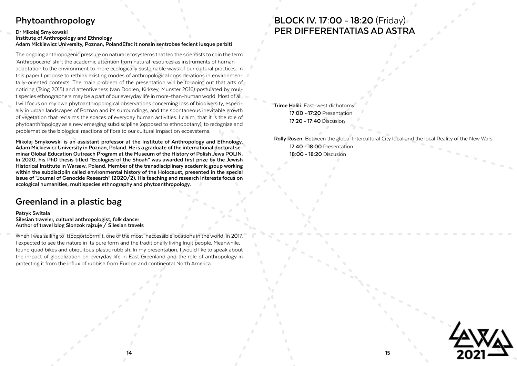

## **BLOCK IV. 17:00 - 18:20** (Friday) **PER DIFFERENTATIAS AD ASTRA**

**Trime Halili:** East-west dichotomy **17:00 - 17:20** Presentation **17:20 - 17:40** Discusion

**Rolly Rosen:** Between the global Intercultural City Ideal and the local Reality of the New Wars **17:40 - 18:00** Presentation **18:00 - 18:20** Discusion

### **Greenland in a plastic bag**

### **Patryk Switała Silesian traveler, cultural anthropologist, folk dancer Author of travel blog Slonzok rajzuje / Silesian travels**

When I was sailing to Ittoqqortoormiit, one of the most inaccessible locations in the world, in 2017, I expected to see the nature in its pure form and the traditionally living Inuit people. Meanwhile, I found quad bikes and ubiquitous plastic rubbish. In my presentation, I would like to speak about the impact of globalization on everyday life in East Greenland and the role of anthropology in protecting it from the influx of rubbish from Europe and continental North America.

### **Phytoanthropology**

### **Dr Mikołaj Smykowski Institute of Anthropology and Ethnology Adam Mickiewicz University, Poznan, PolandEfac it nonsin sentrobse fecient iusque perbiti**

The ongoing anthropogenic pressure on natural ecosystems that led the scientists to coin the term 'Anthropocene' shift the academic attention from natural resources as instruments of human adaptation to the environment to more ecologically sustainable ways of our cultural practices. In this paper I propose to rethink existing modes of anthropological considerations in environmentally-oriented contexts. The main problem of the presentation will be to point out that arts of noticing (Tsing 2015) and attentiveness (van Dooren, Kirksey, Munster 2016) postulated by multispecies ethnographers may be a part of our everyday life in more-than-human world. Most of all, I will focus on my own phytoanthropological observations concerning loss of biodiversity, especially in urban landscapes of Poznan and its surroundings, and the spontaneous inevitable growth of vegetation that reclaims the spaces of everyday human activities. I claim, that it is the role of phytoanthropology as a new emerging subdiscipline (opposed to ethnobotany), to recognize and problematize the biological reactions of flora to our cultural impact on ecosystems.

**Mikołaj Smykowski is an assistant professor at the Institute of Anthropology and Ethnology, Adam Mickiewicz University in Poznan, Poland. He is a graduate of the international doctoral seminar Global Education Outreach Program at the Museum of the History of Polish Jews POLIN. In 2020, his PhD thesis titled "Ecologies of the Shoah" was awarded first prize by the Jewish Historical Institute in Warsaw, Poland. Member of the transdisciplinary academic group working within the subdisciplin called environmental history of the Holocaust, presented in the special issue of "Journal of Genocide Research" (2020/2). His teaching and research interests focus on ecological humanities, multispecies ethnography and phytoanthropology.**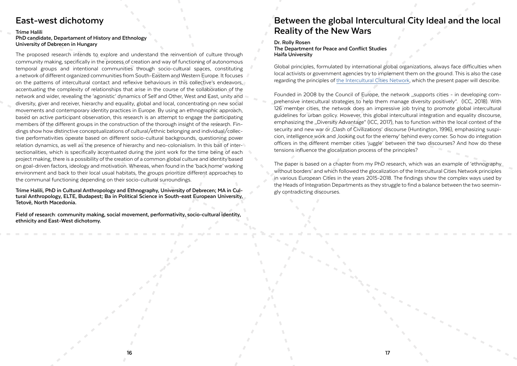**16**

### **East-west dichotomy**

#### **Trime Halili**

### **PhD candidate, Departament of History and Ethnology University of Debrecen in Hungary**

The proposed research intends to explore and understand the reinvention of culture through community making, specifically in the process of creation and way of functioning of autonomous temporal groups and intentional communities through socio-cultural spaces, constituting a network of different organized communities from South-Eastern and Western Europe. It focuses on the patterns of intercultural contact and reflexive behaviours in this collective's endeavors, accentuating the complexity of relationships that arise in the course of the collaboration of the network and wider, revealing the 'agonistic' dynamics of Self and Other, West and East, unity and diversity, giver and receiver, hierarchy and equality, global and local, concentrating on new social movements and contemporary identity practices in Europe. By using an ethnographic approach, based on active participant observation, this research is an attempt to engage the participating members of the different groups in the construction of the thorough insight of the research. Findings show how distinctive conceptualizations of cultural/ethnic belonging and individual/collective performativities operate based on different socio-cultural backgrounds, questioning power relation dynamics, as well as the presence of hierarchy and neo-colonialism. In this ball of intersectionalities, which is specifically accentuated during the joint work for the time being of each project making, there is a possibility of the creation of a common global culture and identity based on goal-driven factors, ideology and motivation. Whereas, when found in the 'back home' working environment and back to their local usual habitats, the groups prioritize different approaches to the communal functioning depending on their socio-cultural surroundings.

Founded in 2008 by the Council of Europe, the network "supports cities - in developing comprehensive intercultural strategies to help them manage diversity positively". (ICC, 2018). With 126 member cities, the network does an impressive job trying to promote global intercultural guidelines for urban policy. However, this global intercultural integration and equality discourse, emphasizing the "Diversity Advantage" (ICC, 2017), has to function within the local context of the security and new war or , Clash of Civilizations' discourse (Huntington, 1996), emphasizing suspicion, intelligence work and 'looking out for the enemy' behind every corner. So how do integration officers in the different member cities 'juggle' between the two discourses? And how do these tensions influence the glocalization process of the principles?

The paper is based on a chapter from my PhD research, which was an example of 'ethnography without borders' and which followed the glocalization of the Intercultural Cities Network principles in various European Cities in the years 2015-2018. The findings show the complex ways used by Trime Halili, PhD in Cultural Anthropology and Ethnography, University of Debrecen; MA in Cul-<br>Trime Halili, PhD in Cultural Anthropology and Ethnography, University of Debrecen; MA in Cul-<br>gly contradicting discourses.

## **Between the global Intercultural City Ideal and the local Reality of the New Wars**

#### **Dr. Rolly Rosen**

**The Department for Peace and Conflict Studies Haifa University**

Global principles, formulated by international global organizations, always face difficulties when local activists or government agencies try to implement them on the ground. This is also the case regarding the principles of [the Intercultural Cities Network,](https://www.coe.int/en/web/interculturalcities/about) which the present paper will describe.

**tural Anthropology, ELTE, Budapest; Ba in Political Science in South-east European University, Tetovë, North Macedonia.**

**Field of research: community making, social movement, performativity, socio-cultural identity, ethnicity and East-West dichotomy.**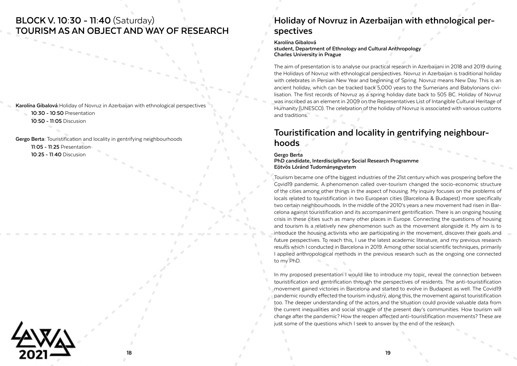### **BLOCK V. 10:30 - 11:40** (Saturday) **TOURISM AS AN OBJECT AND WAY OF RESEARCH**

 $\sim$   $\sim$   $\sim$ 

**Karolína Gibalová:**Holiday of Novruz in Azerbaijan with ethnological perspectives

**10:30 - 10:50** Presentation

**10:50 - 11:05** Discusion

**Gergo Berta:** Touristification and locality in gentrifying neighbourhoods

**11:05 - 11:25** Presentation

**10:25 - 11:40** Discusion

## **Holiday of Novruz in Azerbaijan with ethnological perspectives**

#### **Karolína Gibalová**

**student, Department of Ethnology and Cultural Anthropology Charles University in Prague**

The aim of presentation is to analyse our practical research in Azerbaijani in 2018 and 2019 during the Holidays of Novruz with ethnological perspectives. Novruz in Azerbaijan is traditional holiday with celebrates in Persian New Year and beginning of Spring. Novruz means New Day. This is an ancient holiday, which can be tracked back 5,000 years to the Sumerians and Babylonians civilisation. The first records of Novruz as a spring holiday date back to 505 BC. Holiday of Novruz was inscribed as an element in 2009 on the Representatives List of Intangible Cultural Heritage of Humanity (UNESCO). The celebration of the holiday of Novruz is associated with various customs and traditions.

# **Touristification and locality in gentrifying neighbour- hoods**

In my proposed presentation I would like to introduce my topic, reveal the connection between touristification and gentrification through the perspectives of residents. The anti-touristification movement gained victories in Barcelona and started to evolve in Budapest as well. The Covid19 pandemic roundly effected the tourism industry, along this, the movement against touristification too. The deeper understanding of the actors and the situation could provide valuable data from the current inequalities and social struggle of the present day's communities. How tourism will change after the pandemic? How the reopen affected anti-touristification movements? These are just some of the questions which I seek to answer by the end of the research.

#### **Gergo Berta**

**PhD candidate, Interdisciplinary Social Research Programme Eötvös Lóránd Tudományegyetem**

Tourism became one of the biggest industries of the 21st century which was prospering before the Covid19 pandemic. A phenomenon called over-tourism changed the socio-economic structure of the cities among other things in the aspect of housing. My inquiry focuses on the problems of locals related to touristification in two European cities (Barcelona & Budapest) more specifically two certain neighbourhoods. In the middle of the 2010's years a new movement had risen in Barcelona against touristification and its accompaniment gentrification. There is an ongoing housing crisis in these cities such as many other places in Europe. Connecting the questions of housing and tourism is a relatively new phenomenon such as the movement alongside it. My aim is to introduce the housing activists who are participating in the movement, discover their goals and future perspectives. To reach this, I use the latest academic literature, and my previous research results which I conducted in Barcelona in 2019. Among other social scientific techniques, primarily I applied anthropological methods in the previous research such as the ongoing one connected to my PhD.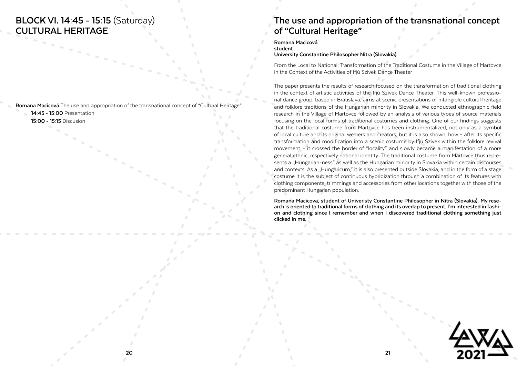### **BLOCK VI. 14:45 - 15:15** (Saturday) **CULTURAL HERITAGE**



**Romana Macicová:**The use and appropriation of the transnational concept of "Cultural Heritage"

- **14:45 15:00** Presentation
- **15:00 15:15** Discusion

## **The use and appropriation of the transnational concept of "Cultural Heritage"**

**Romana Macicová student**

**University Constantine Philosopher Nitra (Slovakia)**

From the Local to National: Transformation of the Traditional Costume in the Village of Martovce in the Context of the Activities of Ifjú Szivek Dance Theater

Romana Macicova, student of Univeristy Constantine Philosopher in Nitra (Slovakia). My research is oriented to traditional forms of clothing and its overlap to present. I'm interested in fashion and clothing since I rememb **clicked in me.** 

The paper presents the results of research focused on the transformation of traditional clothing in the context of artistic activities of the Ifjú Szivek Dance Theater. This well-known professional dance group, based in Bratislava, aims at scenic presentations of intangible cultural heritage and folklore traditions of the Hungarian minority in Slovakia. We conducted ethnographic field research in the Village of Martovce followed by an analysis of various types of source materials focusing on the local forms of traditional costumes and clothing. One of our findings suggests that the traditional costume from Martovce has been instrumentalized, not only as a symbol of local culture and its original wearers and creators, but it is also shown, how – after its specific transformation and modification into a scenic costume by Ifjú Szivek within the folklore revival movement – it crossed the border of "locality" and slowly became a manifestation of a more general ethnic, respectively national identity. The traditional costume from Martovce thus represents a "Hungarian-ness" as well as the Hungarian minority in Slovakia within certain discourses and contexts. As a "Hungaricum," it is also presented outside Slovakia, and in the form of a stage costume it is the subject of continuous hybridization through a combination of its features with clothing components, trimmings and accessories from other locations together with those of the predominant Hungarian population.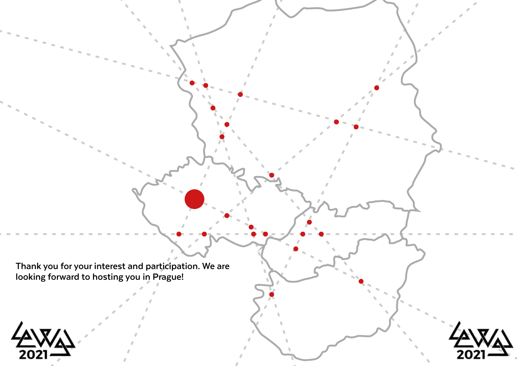**Thank you for your interest and participation. We are looking forward to hosting you in Prague!**